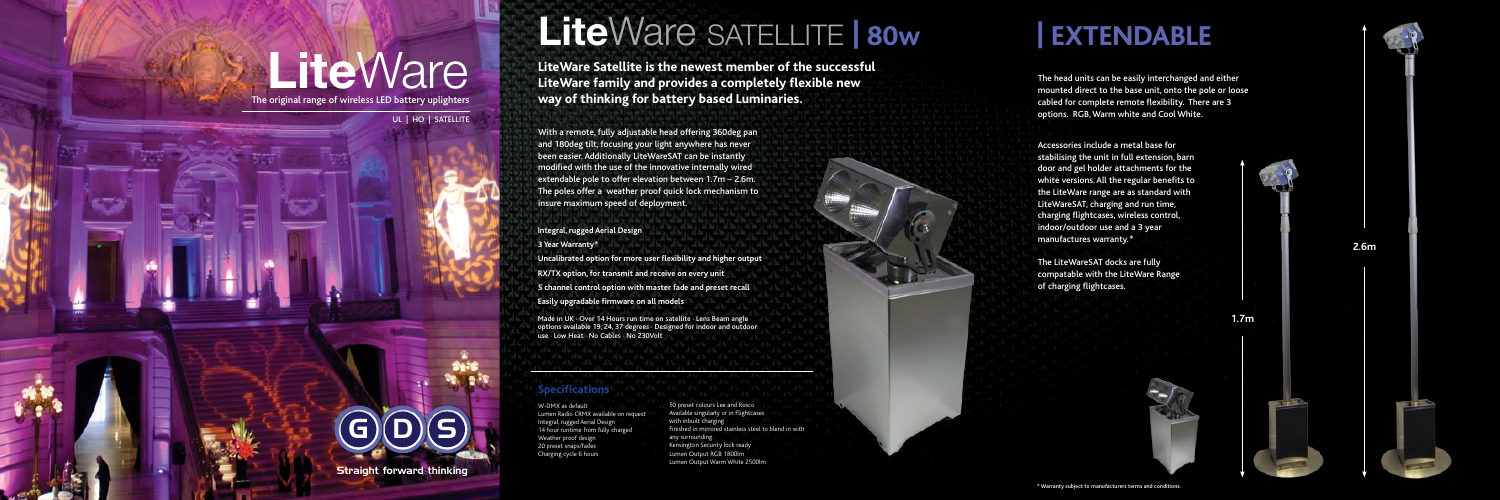# **Lite**Ware

The original range of wireless LED battery uplighters

UL | HO | SATELLITE

Straight forward thinking

 $\mathsf{G})(\mathsf{D})(\mathsf{S})$ 



Accessories include a metal base for stabilising the unit in full extension, barn door and gel holder attachments for the white versions. All the regular benefits to the LiteWare range are as standard with LiteWareSAT, charging and run time, charging flightcases, wireless control, indoor/outdoor use and a 3 year manufactures warranty.\*

The LiteWareSAT docks are fully compatable with the LiteWare Range of charging flightcases.





**2.6m**

The head units can be easily interchanged and either mounted direct to the base unit, onto the pole or loose cabled for complete remote flexibility. There are 3 options. RGB, Warm white and Cool White.

### **| EXTENDABLE**

**1.7m**

## **Lite**Ware SATELLITE **| 80w**

Made in UK · Over 14 Hours run time on satellite · Lens Beam angle options available 19, 24, 37 degrees · Designed for indoor and outdoor use · Low Heat · No Cables · No 230Volt

With a remote, fully adjustable head offering 360deg pan and 180deg tilt, focusing your light anywhere has never been easier. Additionally LiteWareSAT can be instantly modified with the use of the innovative internally wired extendable pole to offer elevation between 1.7m – 2.6m. The poles offer a weather proof quick lock mechanism to insure maximum speed of deployment.

W-DMX as default Lumen Radio CRMX available on request Integral, rugged Aerial Design 14 hour runtime from fully charged Weather proof design 20 preset snaps/fades Charging cycle 6 hours

### **Specifications**

**LiteWare Satellite is the newest member of the successful LiteWare family and provides a completely flexible new way of thinking for battery based Luminaries.**

**Integral, rugged Aerial Design 3 Year Warranty\***

**Uncalibrated option for more user flexibility and higher output**

**RX/TX option, for transmit and receive on every unit**

**5 channel control option with master fade and preset recall**

**Easily upgradable firmware on all models**

50 preset colours Lee and Rosco Available singularly or in Flightcases with inbuilt charging Finished in mirrored stainless steel to blend in with any surrounding Kensington Security lock ready Lumen Output RGB 1800lm Lumen Output Warm White 2500lm